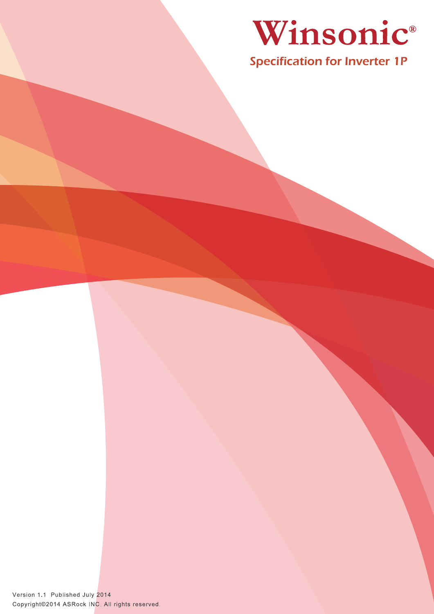

Specification for Inverter 1P

Version 1.1 Published July 2014 Copyright@2014 ASRock INC. All rights reserved.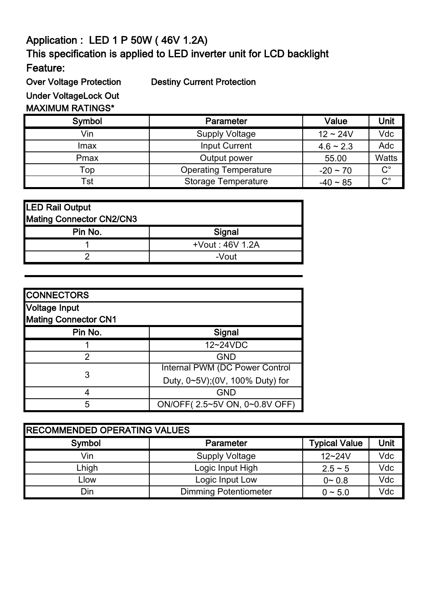## Application : LED 1 P 50W ( 46V 1.2A) This specification is applied to LED inverter unit for LCD backlight

Feature:

Over Voltage Protection Destiny Current Protection

Under VoltageLock Out

## MAXIMUM RATINGS\*

| Symbol | <b>Parameter</b>             | Value          | Unit                 |
|--------|------------------------------|----------------|----------------------|
| Vin    | <b>Supply Voltage</b>        | $12 - 24V$     | Vdc                  |
| Imax   | <b>Input Current</b>         | $4.6 \sim 2.3$ | Adc                  |
| Pmax   | Output power                 | 55.00          | <b>Watts</b>         |
| Top    | <b>Operating Temperature</b> | $-20 \sim 70$  | $C^{\circ}$          |
| Tst    | <b>Storage Temperature</b>   | $-40 \sim 85$  | $\mathbf{C}^{\circ}$ |

| LED Rail Output          |                 |
|--------------------------|-----------------|
| Mating Connector CN2/CN3 |                 |
| Pin No.                  | Signal          |
|                          | +Vout: 46V 1.2A |
|                          | -Vout           |

| <b>CONNECTORS</b>                                   |                                 |
|-----------------------------------------------------|---------------------------------|
| <b>Voltage Input</b><br><b>Mating Connector CN1</b> |                                 |
| Pin No.                                             | <b>Signal</b>                   |
|                                                     | 12~24VDC                        |
| 2                                                   | <b>GND</b>                      |
| 3                                                   | Internal PWM (DC Power Control  |
|                                                     | Duty, 0~5V);(0V, 100% Duty) for |
|                                                     | <b>GND</b>                      |
| 5                                                   | ON/OFF(2.5~5V ON, 0~0.8V OFF)   |

| <b>RECOMMENDED OPERATING VALUES</b> |                              |                      |      |  |  |
|-------------------------------------|------------------------------|----------------------|------|--|--|
| Symbol                              | <b>Parameter</b>             | <b>Typical Value</b> | Unit |  |  |
| Vin                                 | <b>Supply Voltage</b>        | $12 - 24V$           | Vdc  |  |  |
| Lhigh                               | Logic Input High             | $2.5 - 5$            | Vdc  |  |  |
| ∟low                                | Logic Input Low              | $0 - 0.8$            | Vdc  |  |  |
| Din                                 | <b>Dimming Potentiometer</b> | $0 - 5.0$            | Vdc  |  |  |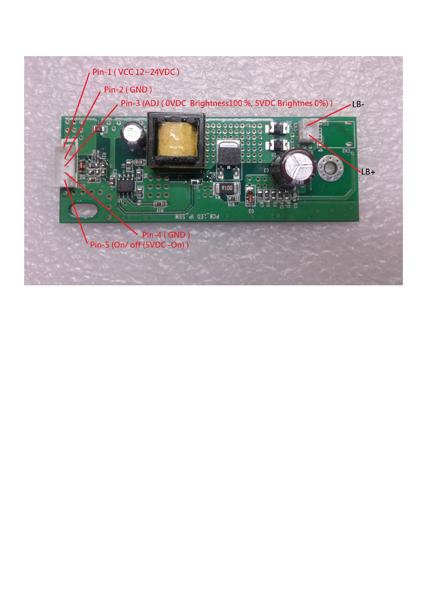